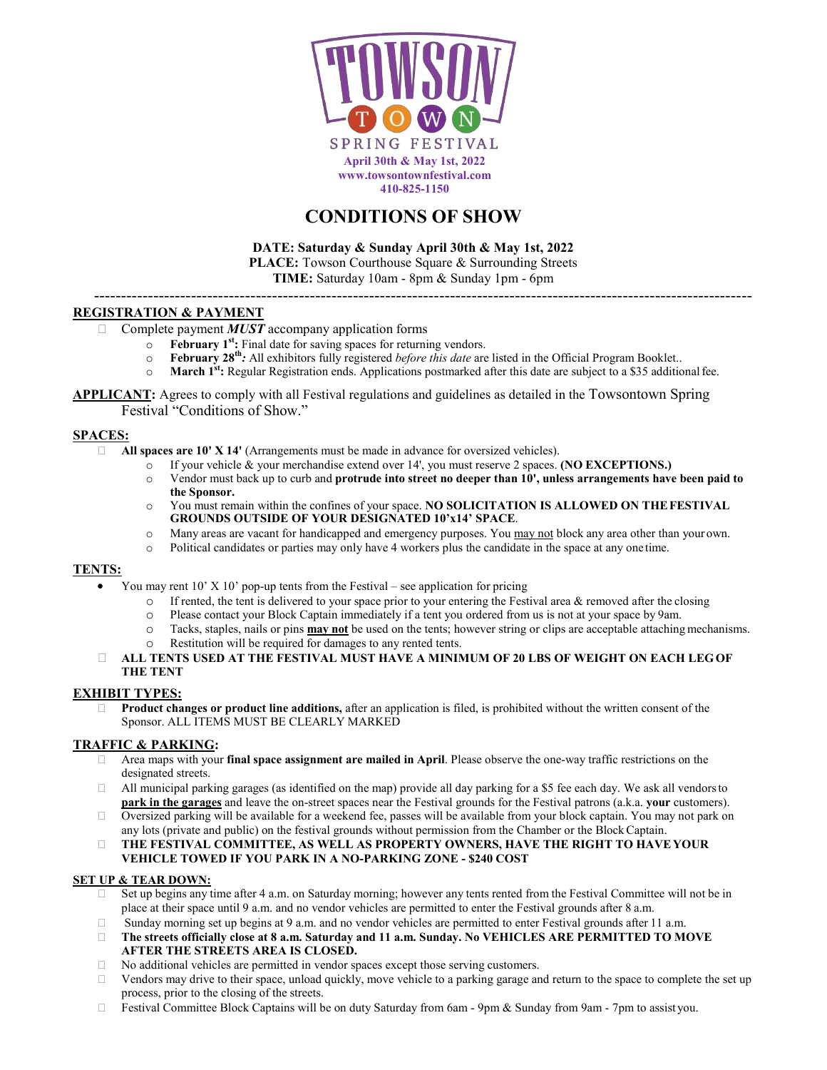

# **CONDITIONS OF SHOW**

**DATE: Saturday & Sunday April 30th & May 1st, 2022 PLACE:** Towson Courthouse Square & Surrounding Streets

**TIME:** Saturday 10am - 8pm & Sunday 1pm - 6pm --------------------------------------------------------------------------------------------------------------------------

# **REGISTRATION & PAYMENT**

- □ Complete payment *MUST* accompany application forms
	- o **February 1st:** Final date for saving spaces for returning vendors.
	- o **February 28th***:* All exhibitors fully registered *before this date* are listed in the Official Program Booklet..
	- o **March 1st:** Regular Registration ends. Applications postmarked after this date are subject to a \$35 additionalfee.
- **APPLICANT:** Agrees to comply with all Festival regulations and guidelines as detailed in the Towsontown Spring Festival "Conditions of Show."

#### **SPACES:**

- **All spaces are 10' X 14'** (Arrangements must be made in advance for oversized vehicles).
	- o If your vehicle & your merchandise extend over 14', you must reserve 2 spaces. **(NO EXCEPTIONS.)**
	- o Vendor must back up to curb and **protrude into street no deeper than 10', unless arrangements have been paid to the Sponsor.**
	- o You must remain within the confines of your space. **NO SOLICITATION IS ALLOWED ON THEFESTIVAL GROUNDS OUTSIDE OF YOUR DESIGNATED 10'x14' SPACE**.
	- o Many areas are vacant for handicapped and emergency purposes. You may not block any area other than your own.
	- o Political candidates or parties may only have 4 workers plus the candidate in the space at any one time.

#### **TENTS:**

- You may rent  $10'$  X  $10'$  pop-up tents from the Festival see application for pricing
	- $\circ$  If rented, the tent is delivered to your space prior to your entering the Festival area & removed after the closing  $\circ$  Please contact your Block Captain immediately if a tent you ordered from us is not at your spac
	- Please contact your Block Captain immediately if a tent you ordered from us is not at your space by 9am.
	- o Tacks, staples, nails or pins **may not** be used on the tents; however string or clips are acceptable attaching mechanisms.
	- o Restitution will be required for damages to any rented tents.

#### **ALL TENTS USED AT THE FESTIVAL MUST HAVE A MINIMUM OF 20 LBS OF WEIGHT ON EACH LEGOF THE TENT**

## **EXHIBIT TYPES:**

 **Product changes or product line additions,** after an application is filed, is prohibited without the written consent of the Sponsor. ALL ITEMS MUST BE CLEARLY MARKED

## **TRAFFIC & PARKING:**

- Area maps with your **final space assignment are mailed in April**. Please observe the one-way traffic restrictions on the designated streets.
- $\Box$  All municipal parking garages (as identified on the map) provide all day parking for a \$5 fee each day. We ask all vendors to **park in the garages** and leave the on-street spaces near the Festival grounds for the Festival patrons (a.k.a. **your** customers).
- $\Box$  Oversized parking will be available for a weekend fee, passes will be available from your block captain. You may not park on any lots (private and public) on the festival grounds without permission from the Chamber or the BlockCaptain.
- **THE FESTIVAL COMMITTEE, AS WELL AS PROPERTY OWNERS, HAVE THE RIGHT TO HAVEYOUR VEHICLE TOWED IF YOU PARK IN A NO-PARKING ZONE - \$240 COST**

#### **SET UP & TEAR DOWN:**

- Set up begins any time after 4 a.m. on Saturday morning; however any tents rented from the Festival Committee will not be in place at their space until 9 a.m. and no vendor vehicles are permitted to enter the Festival grounds after 8 a.m.
- $\Box$  Sunday morning set up begins at 9 a.m. and no vendor vehicles are permitted to enter Festival grounds after 11 a.m.
- **The streets officially close at 8 a.m. Saturday and 11 a.m. Sunday. No VEHICLES ARE PERMITTED TO MOVE AFTER THE STREETS AREA IS CLOSED.**
- $\Box$  No additional vehicles are permitted in vendor spaces except those serving customers.
- $\Box$  Vendors may drive to their space, unload quickly, move vehicle to a parking garage and return to the space to complete the set up process, prior to the closing of the streets.
- $\Box$  Festival Committee Block Captains will be on duty Saturday from 6am 9pm & Sunday from 9am 7pm to assistyou.